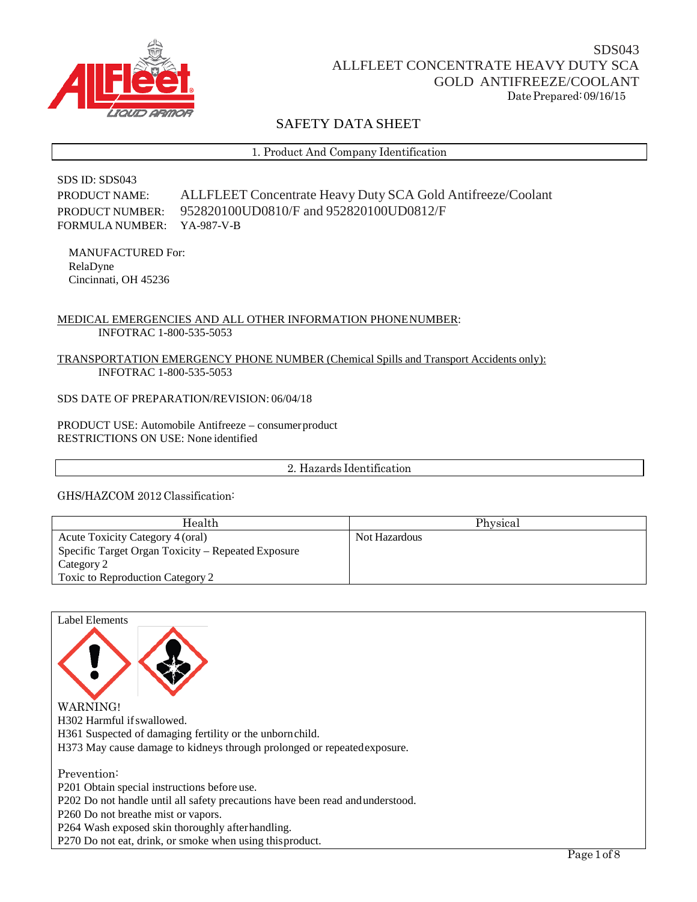

# SAFETY DATA SHEET

1. Product And Company Identification

## SDS ID: SDS043 PRODUCT NAME: ALLFLEET Concentrate Heavy Duty SCA Gold Antifreeze/Coolant PRODUCT NUMBER: 952820100UD0810/F and 952820100UD0812/F FORMULA NUMBER: YA-987-V-B

MANUFACTURED For: RelaDyne Cincinnati, OH 45236

## MEDICAL EMERGENCIES AND ALL OTHER INFORMATION PHONENUMBER: INFOTRAC 1-800-535-5053

### TRANSPORTATION EMERGENCY PHONE NUMBER (Chemical Spills and Transport Accidents only): INFOTRAC 1-800-535-5053

## SDS DATE OF PREPARATION/REVISION: 06/04/18

PRODUCT USE: Automobile Antifreeze – consumerproduct RESTRICTIONS ON USE: None identified

2. Hazards Identification

## GHS/HAZCOM 2012 Classification:

| Health                                             | Physical      |
|----------------------------------------------------|---------------|
| Acute Toxicity Category 4 (oral)                   | Not Hazardous |
| Specific Target Organ Toxicity – Repeated Exposure |               |
| Category 2                                         |               |
| Toxic to Reproduction Category 2                   |               |

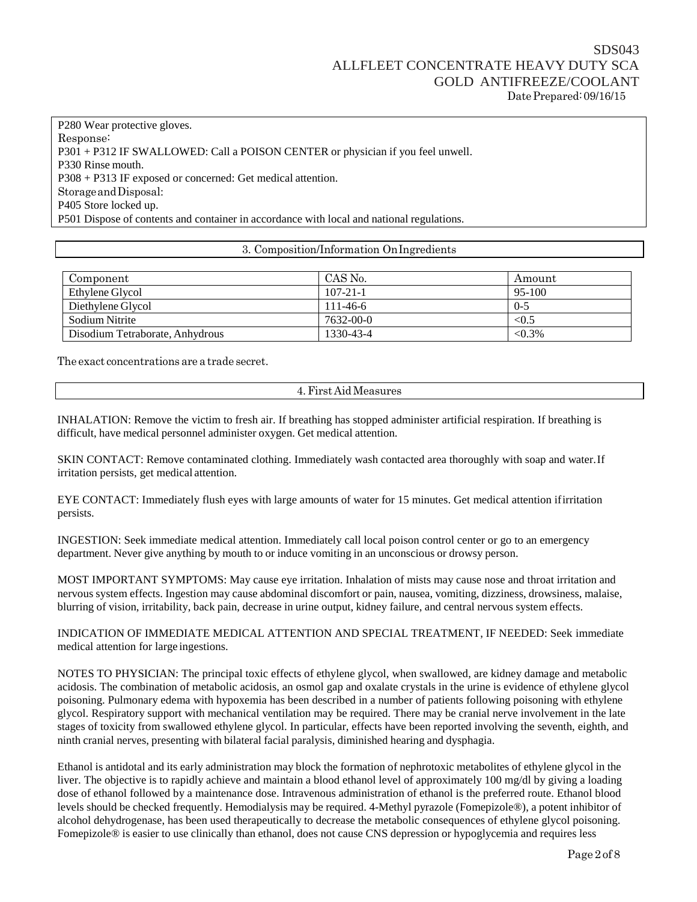P280 Wear protective gloves. Response: P301 + P312 IF SWALLOWED: Call a POISON CENTER or physician if you feel unwell. P330 Rinse mouth. P308 + P313 IF exposed or concerned: Get medical attention. StorageandDisposal: P405 Store locked up. P501 Dispose of contents and container in accordance with local and national regulations.

### 3. Composition/Information OnIngredients

| Component                       | CAS No.        | Amount    |
|---------------------------------|----------------|-----------|
| Ethylene Glycol                 | $107 - 21 - 1$ | 95-100    |
| Diethylene Glycol               | $111 - 46 - 6$ | $0 - 5$   |
| Sodium Nitrite                  | 7632-00-0      | < 0.5     |
| Disodium Tetraborate, Anhydrous | 1330-43-4      | $< 0.3\%$ |

The exact concentrations are a trade secret.

4.First Aid Measures

INHALATION: Remove the victim to fresh air. If breathing has stopped administer artificial respiration. If breathing is difficult, have medical personnel administer oxygen. Get medical attention.

SKIN CONTACT: Remove contaminated clothing. Immediately wash contacted area thoroughly with soap and water.If irritation persists, get medical attention.

EYE CONTACT: Immediately flush eyes with large amounts of water for 15 minutes. Get medical attention ifirritation persists.

INGESTION: Seek immediate medical attention. Immediately call local poison control center or go to an emergency department. Never give anything by mouth to or induce vomiting in an unconscious or drowsy person.

MOST IMPORTANT SYMPTOMS: May cause eye irritation. Inhalation of mists may cause nose and throat irritation and nervous system effects. Ingestion may cause abdominal discomfort or pain, nausea, vomiting, dizziness, drowsiness, malaise, blurring of vision, irritability, back pain, decrease in urine output, kidney failure, and central nervous system effects.

INDICATION OF IMMEDIATE MEDICAL ATTENTION AND SPECIAL TREATMENT, IF NEEDED: Seek immediate medical attention for large ingestions.

NOTES TO PHYSICIAN: The principal toxic effects of ethylene glycol, when swallowed, are kidney damage and metabolic acidosis. The combination of metabolic acidosis, an osmol gap and oxalate crystals in the urine is evidence of ethylene glycol poisoning. Pulmonary edema with hypoxemia has been described in a number of patients following poisoning with ethylene glycol. Respiratory support with mechanical ventilation may be required. There may be cranial nerve involvement in the late stages of toxicity from swallowed ethylene glycol. In particular, effects have been reported involving the seventh, eighth, and ninth cranial nerves, presenting with bilateral facial paralysis, diminished hearing and dysphagia.

Ethanol is antidotal and its early administration may block the formation of nephrotoxic metabolites of ethylene glycol in the liver. The objective is to rapidly achieve and maintain a blood ethanol level of approximately 100 mg/dl by giving a loading dose of ethanol followed by a maintenance dose. Intravenous administration of ethanol is the preferred route. Ethanol blood levels should be checked frequently. Hemodialysis may be required. 4-Methyl pyrazole (Fomepizole®), a potent inhibitor of alcohol dehydrogenase, has been used therapeutically to decrease the metabolic consequences of ethylene glycol poisoning. Fomepizole® is easier to use clinically than ethanol, does not cause CNS depression or hypoglycemia and requires less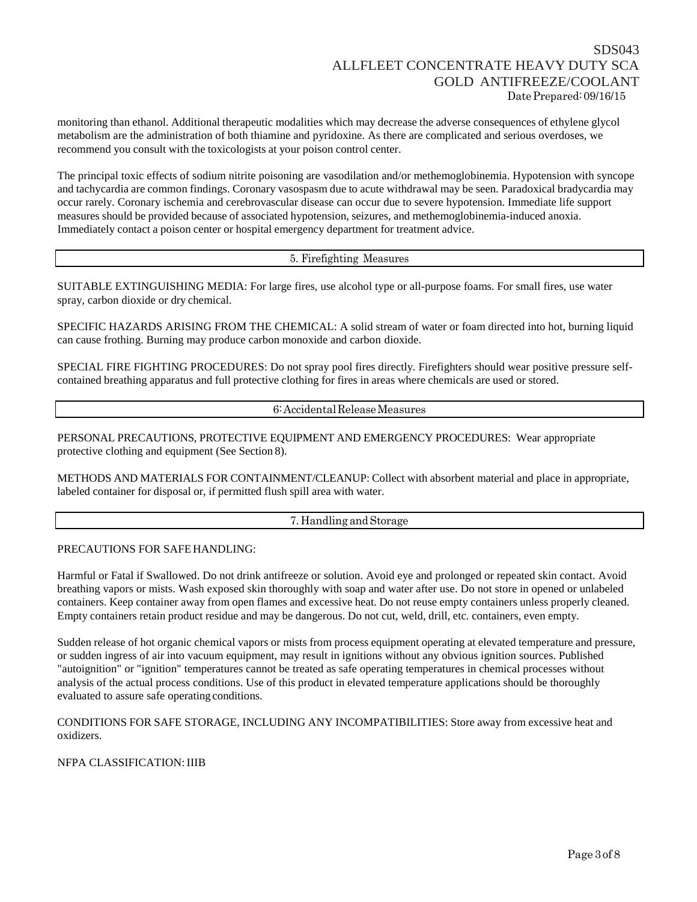monitoring than ethanol. Additional therapeutic modalities which may decrease the adverse consequences of ethylene glycol metabolism are the administration of both thiamine and pyridoxine. As there are complicated and serious overdoses, we recommend you consult with the toxicologists at your poison control center.

The principal toxic effects of sodium nitrite poisoning are vasodilation and/or methemoglobinemia. Hypotension with syncope and tachycardia are common findings. Coronary vasospasm due to acute withdrawal may be seen. Paradoxical bradycardia may occur rarely. Coronary ischemia and cerebrovascular disease can occur due to severe hypotension. Immediate life support measures should be provided because of associated hypotension, seizures, and methemoglobinemia-induced anoxia. Immediately contact a poison center or hospital emergency department for treatment advice.

5. Firefighting Measures

SUITABLE EXTINGUISHING MEDIA: For large fires, use alcohol type or all-purpose foams. For small fires, use water spray, carbon dioxide or dry chemical.

SPECIFIC HAZARDS ARISING FROM THE CHEMICAL: A solid stream of water or foam directed into hot, burning liquid can cause frothing. Burning may produce carbon monoxide and carbon dioxide.

SPECIAL FIRE FIGHTING PROCEDURES: Do not spray pool fires directly. Firefighters should wear positive pressure selfcontained breathing apparatus and full protective clothing for fires in areas where chemicals are used or stored.

6:AccidentalReleaseMeasures

PERSONAL PRECAUTIONS, PROTECTIVE EQUIPMENT AND EMERGENCY PROCEDURES: Wear appropriate protective clothing and equipment (See Section 8).

METHODS AND MATERIALS FOR CONTAINMENT/CLEANUP: Collect with absorbent material and place in appropriate, labeled container for disposal or, if permitted flush spill area with water.

7. Handling and Storage

## PRECAUTIONS FOR SAFE HANDLING:

Harmful or Fatal if Swallowed. Do not drink antifreeze or solution. Avoid eye and prolonged or repeated skin contact. Avoid breathing vapors or mists. Wash exposed skin thoroughly with soap and water after use. Do not store in opened or unlabeled containers. Keep container away from open flames and excessive heat. Do not reuse empty containers unless properly cleaned. Empty containers retain product residue and may be dangerous. Do not cut, weld, drill, etc. containers, even empty.

Sudden release of hot organic chemical vapors or mists from process equipment operating at elevated temperature and pressure, or sudden ingress of air into vacuum equipment, may result in ignitions without any obvious ignition sources. Published "autoignition" or "ignition" temperatures cannot be treated as safe operating temperatures in chemical processes without analysis of the actual process conditions. Use of this product in elevated temperature applications should be thoroughly evaluated to assure safe operating conditions.

CONDITIONS FOR SAFE STORAGE, INCLUDING ANY INCOMPATIBILITIES: Store away from excessive heat and oxidizers.

NFPA CLASSIFICATION: IIIB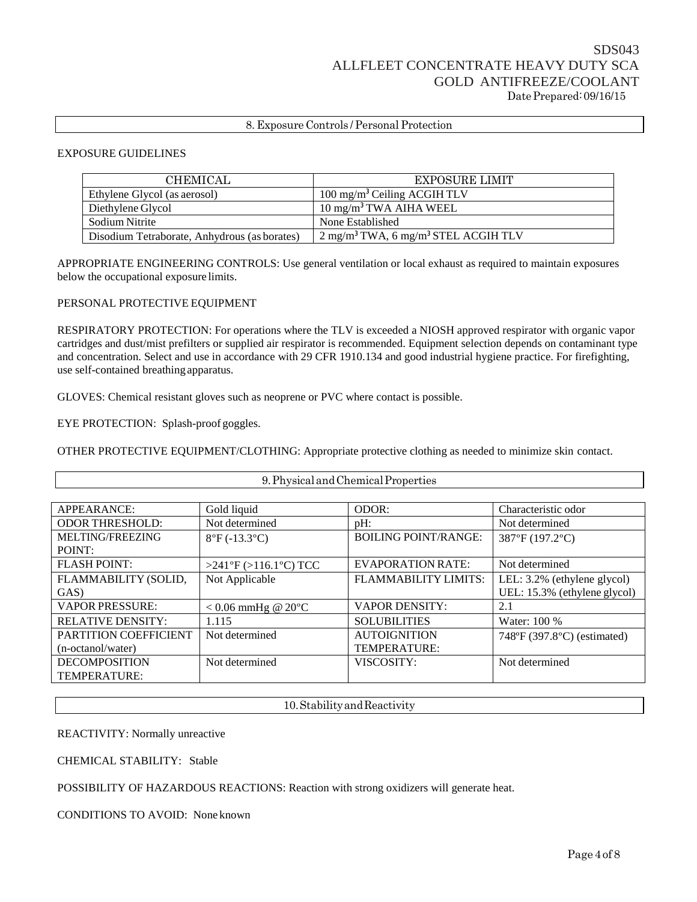## 8. Exposure Controls / Personal Protection

#### EXPOSURE GUIDELINES

| <b>CHEMICAL</b>                              | <b>EXPOSURE LIMIT</b>                                      |
|----------------------------------------------|------------------------------------------------------------|
| Ethylene Glycol (as aerosol)                 | 100 mg/m <sup>3</sup> Ceiling ACGIH TLV                    |
| Diethylene Glycol                            | $10 \text{ mg/m}^3$ TWA AIHA WEEL                          |
| Sodium Nitrite                               | None Established                                           |
| Disodium Tetraborate, Anhydrous (as borates) | $2 \text{ mg/m}^3$ TWA, 6 mg/m <sup>3</sup> STEL ACGIH TLV |

APPROPRIATE ENGINEERING CONTROLS: Use general ventilation or local exhaust as required to maintain exposures below the occupational exposure limits.

#### PERSONAL PROTECTIVE EQUIPMENT

RESPIRATORY PROTECTION: For operations where the TLV is exceeded a NIOSH approved respirator with organic vapor cartridges and dust/mist prefilters or supplied air respirator is recommended. Equipment selection depends on contaminant type and concentration. Select and use in accordance with 29 CFR 1910.134 and good industrial hygiene practice. For firefighting, use self-contained breathing apparatus.

GLOVES: Chemical resistant gloves such as neoprene or PVC where contact is possible.

EYE PROTECTION: Splash-proof goggles.

OTHER PROTECTIVE EQUIPMENT/CLOTHING: Appropriate protective clothing as needed to minimize skin contact.

| 9. Physical and Chemical Properties |                                 |                             |                              |
|-------------------------------------|---------------------------------|-----------------------------|------------------------------|
|                                     |                                 |                             |                              |
| APPEARANCE:                         | Gold liquid                     | ODOR:                       | Characteristic odor          |
| <b>ODOR THRESHOLD:</b>              | Not determined                  | $pH$ :                      | Not determined               |
| MELTING/FREEZING                    | $8^{\circ}F(-13.3^{\circ}C)$    | <b>BOILING POINT/RANGE:</b> | 387°F (197.2°C)              |
| POINT:                              |                                 |                             |                              |
| <b>FLASH POINT:</b>                 | $>241$ °F ( $>116.1$ °C) TCC    | <b>EVAPORATION RATE:</b>    | Not determined               |
| FLAMMABILITY (SOLID,                | Not Applicable                  | <b>FLAMMABILITY LIMITS:</b> | LEL: 3.2% (ethylene glycol)  |
| GAS)                                |                                 |                             | UEL: 15.3% (ethylene glycol) |
| <b>VAPOR PRESSURE:</b>              | $< 0.06$ mmHg @ 20 $^{\circ}$ C | <b>VAPOR DENSITY:</b>       | 2.1                          |
| <b>RELATIVE DENSITY:</b>            | 1.115                           | <b>SOLUBILITIES</b>         | Water: 100 %                 |
| <b>PARTITION COEFFICIENT</b>        | Not determined                  | <b>AUTOIGNITION</b>         | 748°F (397.8°C) (estimated)  |
| (n-octanol/water)                   |                                 | <b>TEMPERATURE:</b>         |                              |
| <b>DECOMPOSITION</b>                | Not determined                  | VISCOSITY:                  | Not determined               |
| <b>TEMPERATURE:</b>                 |                                 |                             |                              |

10.StabilityandReactivity

REACTIVITY: Normally unreactive

CHEMICAL STABILITY: Stable

POSSIBILITY OF HAZARDOUS REACTIONS: Reaction with strong oxidizers will generate heat.

CONDITIONS TO AVOID: None known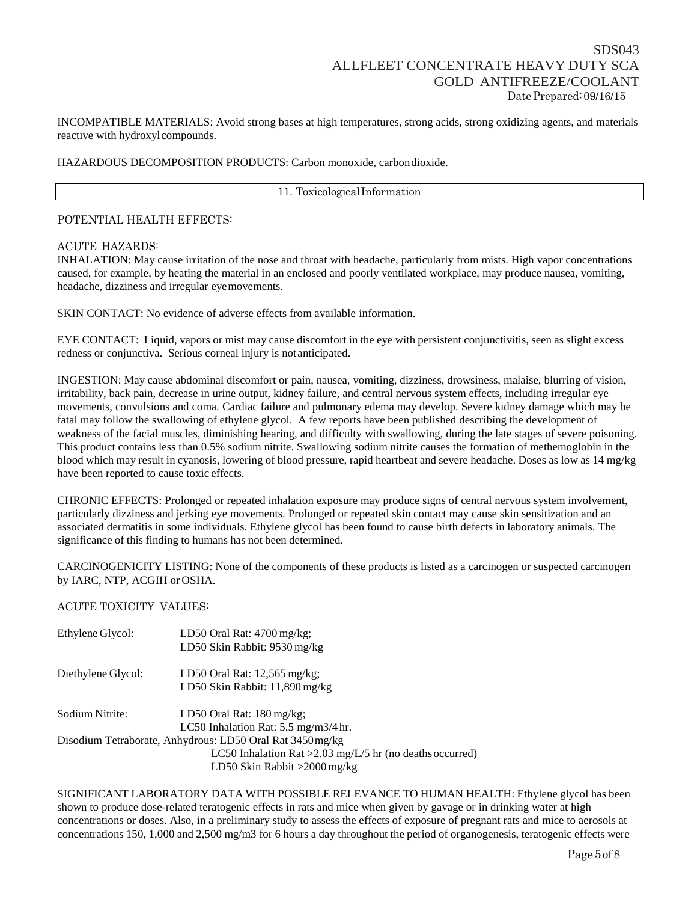## SDS043 ALLFLEET CONCENTRATE HEAVY DUTY SCA GOLD ANTIFREEZE/COOLANT Date Prepared: 09/16/15

INCOMPATIBLE MATERIALS: Avoid strong bases at high temperatures, strong acids, strong oxidizing agents, and materials reactive with hydroxylcompounds.

### HAZARDOUS DECOMPOSITION PRODUCTS: Carbon monoxide, carbondioxide.

#### 11. ToxicologicalInformation

## POTENTIAL HEALTH EFFECTS:

### ACUTE HAZARDS:

INHALATION: May cause irritation of the nose and throat with headache, particularly from mists. High vapor concentrations caused, for example, by heating the material in an enclosed and poorly ventilated workplace, may produce nausea, vomiting, headache, dizziness and irregular eyemovements.

SKIN CONTACT: No evidence of adverse effects from available information.

EYE CONTACT: Liquid, vapors or mist may cause discomfort in the eye with persistent conjunctivitis, seen as slight excess redness or conjunctiva. Serious corneal injury is notanticipated.

INGESTION: May cause abdominal discomfort or pain, nausea, vomiting, dizziness, drowsiness, malaise, blurring of vision, irritability, back pain, decrease in urine output, kidney failure, and central nervous system effects, including irregular eye movements, convulsions and coma. Cardiac failure and pulmonary edema may develop. Severe kidney damage which may be fatal may follow the swallowing of ethylene glycol. A few reports have been published describing the development of weakness of the facial muscles, diminishing hearing, and difficulty with swallowing, during the late stages of severe poisoning. This product contains less than 0.5% sodium nitrite. Swallowing sodium nitrite causes the formation of methemoglobin in the blood which may result in cyanosis, lowering of blood pressure, rapid heartbeat and severe headache. Doses as low as 14 mg/kg have been reported to cause toxic effects.

CHRONIC EFFECTS: Prolonged or repeated inhalation exposure may produce signs of central nervous system involvement, particularly dizziness and jerking eye movements. Prolonged or repeated skin contact may cause skin sensitization and an associated dermatitis in some individuals. Ethylene glycol has been found to cause birth defects in laboratory animals. The significance of this finding to humans has not been determined.

CARCINOGENICITY LISTING: None of the components of these products is listed as a carcinogen or suspected carcinogen by IARC, NTP, ACGIH or OSHA.

## ACUTE TOXICITY VALUES:

| Ethylene Glycol:   | LD50 Oral Rat: $4700 \,\text{mg/kg}$ ;                      |
|--------------------|-------------------------------------------------------------|
|                    | LD50 Skin Rabbit: 9530 mg/kg                                |
| Diethylene Glycol: | LD50 Oral Rat: $12,565$ mg/kg;                              |
|                    | LD50 Skin Rabbit: $11,890$ mg/kg                            |
| Sodium Nitrite:    | LD50 Oral Rat: $180 \,\text{mg/kg}$ ;                       |
|                    | LC50 Inhalation Rat: $5.5 \text{ mg/m}3/4 \text{ hr}$ .     |
|                    | Disodium Tetraborate, Anhydrous: LD50 Oral Rat 3450 mg/kg   |
|                    | LC50 Inhalation Rat > $2.03$ mg/L/5 hr (no deaths occurred) |
|                    | LD50 Skin Rabbit $>2000$ mg/kg                              |

SIGNIFICANT LABORATORY DATA WITH POSSIBLE RELEVANCE TO HUMAN HEALTH: Ethylene glycol has been shown to produce dose-related teratogenic effects in rats and mice when given by gavage or in drinking water at high concentrations or doses. Also, in a preliminary study to assess the effects of exposure of pregnant rats and mice to aerosols at concentrations 150, 1,000 and 2,500 mg/m3 for 6 hours a day throughout the period of organogenesis, teratogenic effects were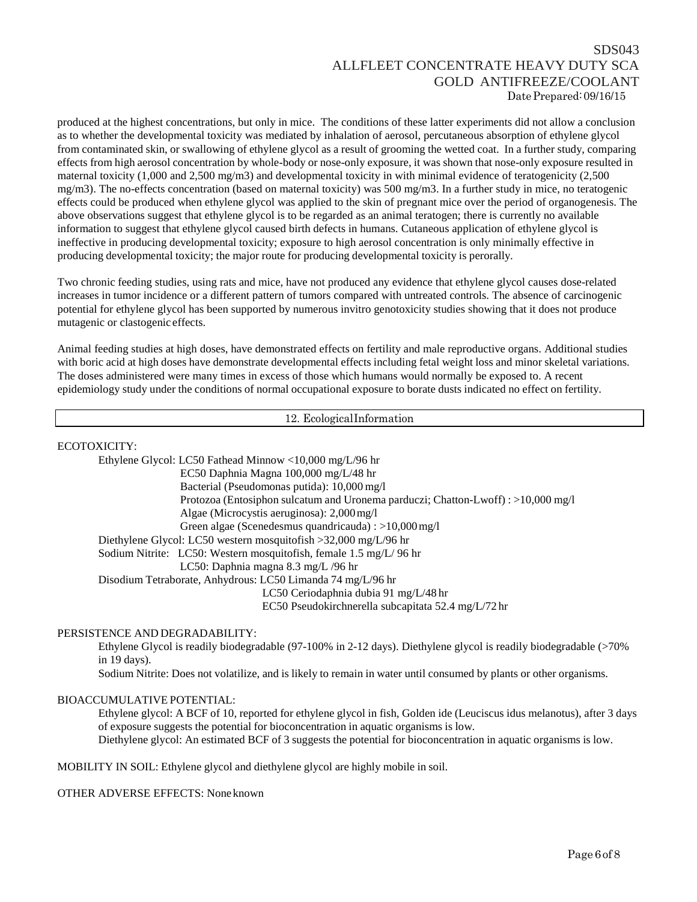# SDS043 ALLFLEET CONCENTRATE HEAVY DUTY SCA GOLD ANTIFREEZE/COOLANT Date Prepared: 09/16/15

produced at the highest concentrations, but only in mice. The conditions of these latter experiments did not allow a conclusion as to whether the developmental toxicity was mediated by inhalation of aerosol, percutaneous absorption of ethylene glycol from contaminated skin, or swallowing of ethylene glycol as a result of grooming the wetted coat. In a further study, comparing effects from high aerosol concentration by whole-body or nose-only exposure, it was shown that nose-only exposure resulted in maternal toxicity (1,000 and 2,500 mg/m3) and developmental toxicity in with minimal evidence of teratogenicity (2,500 mg/m3). The no-effects concentration (based on maternal toxicity) was 500 mg/m3. In a further study in mice, no teratogenic effects could be produced when ethylene glycol was applied to the skin of pregnant mice over the period of organogenesis. The above observations suggest that ethylene glycol is to be regarded as an animal teratogen; there is currently no available information to suggest that ethylene glycol caused birth defects in humans. Cutaneous application of ethylene glycol is ineffective in producing developmental toxicity; exposure to high aerosol concentration is only minimally effective in producing developmental toxicity; the major route for producing developmental toxicity is perorally.

Two chronic feeding studies, using rats and mice, have not produced any evidence that ethylene glycol causes dose-related increases in tumor incidence or a different pattern of tumors compared with untreated controls. The absence of carcinogenic potential for ethylene glycol has been supported by numerous invitro genotoxicity studies showing that it does not produce mutagenic or clastogenic effects.

Animal feeding studies at high doses, have demonstrated effects on fertility and male reproductive organs. Additional studies with boric acid at high doses have demonstrate developmental effects including fetal weight loss and minor skeletal variations. The doses administered were many times in excess of those which humans would normally be exposed to. A recent epidemiology study under the conditions of normal occupational exposure to borate dusts indicated no effect on fertility.

12. EcologicalInformation

ECOTOXICITY:

| Ethylene Glycol: LC50 Fathead Minnow <10,000 mg/L/96 hr                           |
|-----------------------------------------------------------------------------------|
| EC50 Daphnia Magna $100,000 \text{ mg/L}/48 \text{ hr}$                           |
| Bacterial (Pseudomonas putida): 10,000 mg/l                                       |
| Protozoa (Entosiphon sulcatum and Uronema parduczi; Chatton-Lwoff) : >10,000 mg/l |
| Algae (Microcystis aeruginosa): $2,000 \,\mathrm{mg}/l$                           |
| Green algae (Scenedesmus quandricauda) : $>10,000 \,\mathrm{mg}/1$                |
| Diethylene Glycol: LC50 western mosquitofish $>32,000$ mg/L/96 hr                 |
| Sodium Nitrite: LC50: Western mosquitofish, female 1.5 mg/L/96 hr                 |
| LC50: Daphnia magna 8.3 mg/L /96 hr                                               |
| Disodium Tetraborate, Anhydrous: LC50 Limanda 74 mg/L/96 hr                       |
| LC50 Ceriodaphnia dubia 91 mg/L/48 hr                                             |
| EC50 Pseudokirchnerella subcapitata 52.4 mg/L/72 hr                               |

PERSISTENCE AND DEGRADABILITY:

Ethylene Glycol is readily biodegradable (97-100% in 2-12 days). Diethylene glycol is readily biodegradable (>70% in 19 days).

Sodium Nitrite: Does not volatilize, and is likely to remain in water until consumed by plants or other organisms.

#### BIOACCUMULATIVE POTENTIAL:

Ethylene glycol: A BCF of 10, reported for ethylene glycol in fish, Golden ide (Leuciscus idus melanotus), after 3 days of exposure suggests the potential for bioconcentration in aquatic organisms is low. Diethylene glycol: An estimated BCF of 3 suggests the potential for bioconcentration in aquatic organisms is low.

MOBILITY IN SOIL: Ethylene glycol and diethylene glycol are highly mobile in soil.

OTHER ADVERSE EFFECTS: Noneknown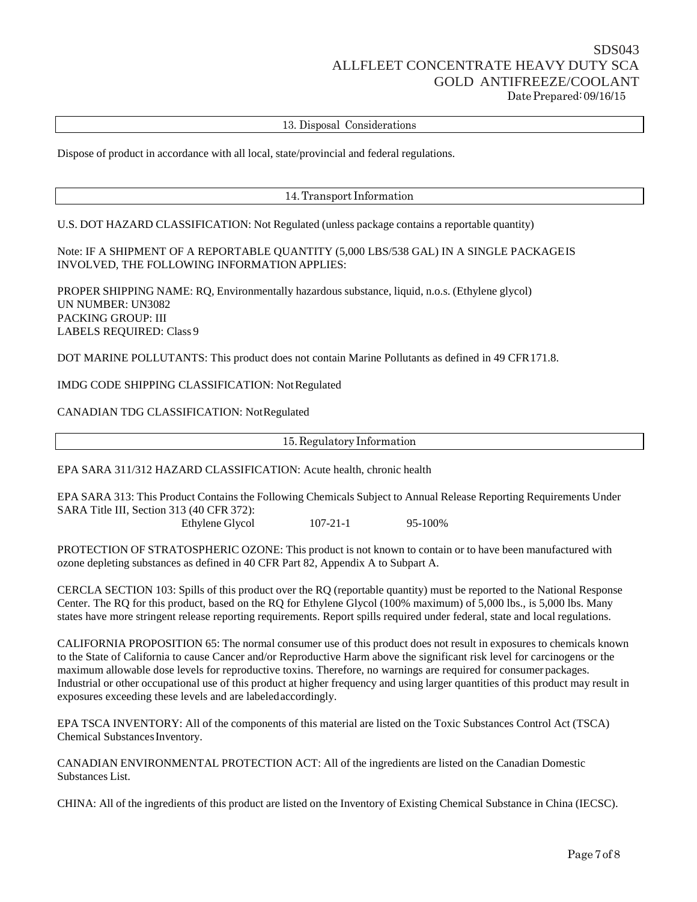## SDS043 ALLFLEET CONCENTRATE HEAVY DUTY SCA GOLD ANTIFREEZE/COOLANT Date Prepared: 09/16/15

13. Disposal Considerations

Dispose of product in accordance with all local, state/provincial and federal regulations.

14.Transport Information

U.S. DOT HAZARD CLASSIFICATION: Not Regulated (unless package contains a reportable quantity)

Note: IF A SHIPMENT OF A REPORTABLE QUANTITY (5,000 LBS/538 GAL) IN A SINGLE PACKAGEIS INVOLVED, THE FOLLOWING INFORMATION APPLIES:

PROPER SHIPPING NAME: RQ, Environmentally hazardous substance, liquid, n.o.s. (Ethylene glycol) UN NUMBER: UN3082 PACKING GROUP: III LABELS REQUIRED: Class 9

DOT MARINE POLLUTANTS: This product does not contain Marine Pollutants as defined in 49 CFR171.8.

IMDG CODE SHIPPING CLASSIFICATION: NotRegulated

CANADIAN TDG CLASSIFICATION: NotRegulated

15. Regulatory Information

EPA SARA 311/312 HAZARD CLASSIFICATION: Acute health, chronic health

EPA SARA 313: This Product Contains the Following Chemicals Subject to Annual Release Reporting Requirements Under SARA Title III, Section 313 (40 CFR 372):

Ethylene Glycol 107-21-1 95-100%

PROTECTION OF STRATOSPHERIC OZONE: This product is not known to contain or to have been manufactured with ozone depleting substances as defined in 40 CFR Part 82, Appendix A to Subpart A.

CERCLA SECTION 103: Spills of this product over the RQ (reportable quantity) must be reported to the National Response Center. The RQ for this product, based on the RQ for Ethylene Glycol (100% maximum) of 5,000 lbs., is 5,000 lbs. Many states have more stringent release reporting requirements. Report spills required under federal, state and local regulations.

CALIFORNIA PROPOSITION 65: The normal consumer use of this product does not result in exposures to chemicals known to the State of California to cause Cancer and/or Reproductive Harm above the significant risk level for carcinogens or the maximum allowable dose levels for reproductive toxins. Therefore, no warnings are required for consumer packages. Industrial or other occupational use of this product at higher frequency and using larger quantities of this product may result in exposures exceeding these levels and are labeledaccordingly.

EPA TSCA INVENTORY: All of the components of this material are listed on the Toxic Substances Control Act (TSCA) Chemical Substances Inventory.

CANADIAN ENVIRONMENTAL PROTECTION ACT: All of the ingredients are listed on the Canadian Domestic Substances List.

CHINA: All of the ingredients of this product are listed on the Inventory of Existing Chemical Substance in China (IECSC).